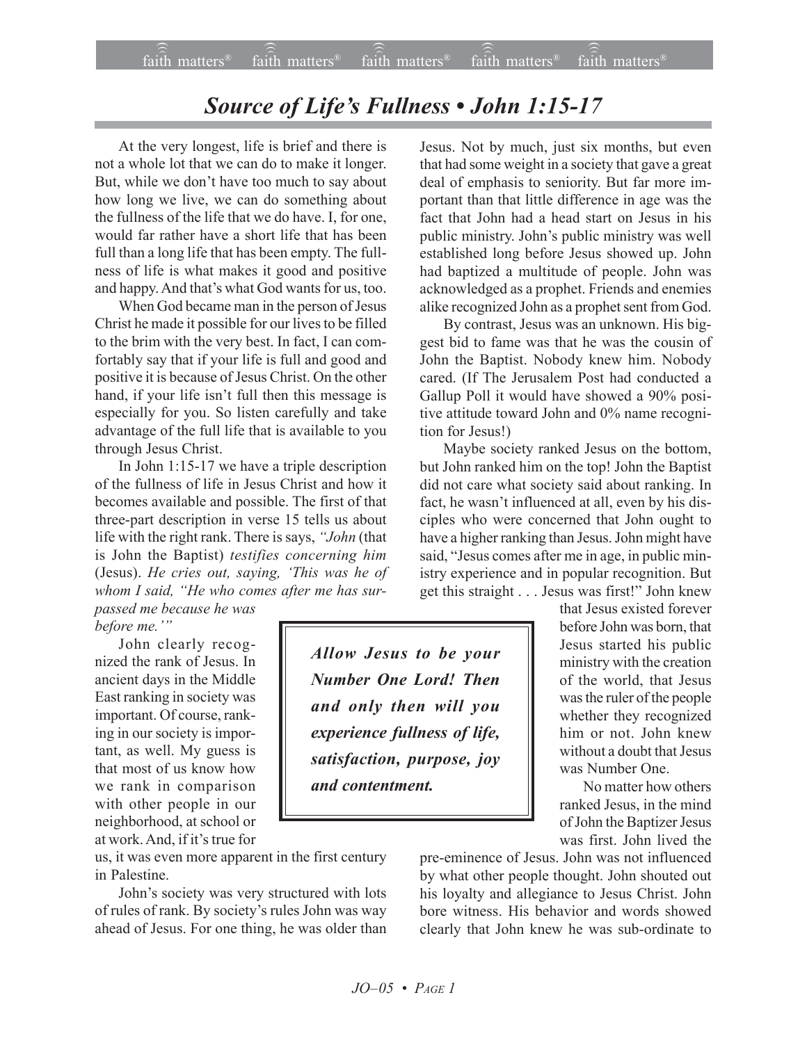## **Source of Life's Fullness • John 1:15-17**

At the very longest, life is brief and there is not a whole lot that we can do to make it longer. But, while we don't have too much to say about how long we live, we can do something about the fullness of the life that we do have. I, for one, would far rather have a short life that has been full than a long life that has been empty. The fullness of life is what makes it good and positive and happy. And that's what God wants for us, too.

When God became man in the person of Jesus Christ he made it possible for our lives to be filled to the brim with the very best. In fact, I can comfortably say that if your life is full and good and positive it is because of Jesus Christ. On the other hand, if your life isn't full then this message is especially for you. So listen carefully and take advantage of the full life that is available to you through Jesus Christ.

In John 1:15-17 we have a triple description of the fullness of life in Jesus Christ and how it becomes available and possible. The first of that three-part description in verse 15 tells us about life with the right rank. There is says, "John (that is John the Baptist) *testifies concerning him* (Jesus). *He cries out, saying, ëThis was he of* whom I said, "He who comes after me has sur*passed me because he was*

*before me.*'"

John clearly recognized the rank of Jesus. In ancient days in the Middle East ranking in society was important. Of course, ranking in our society is important, as well. My guess is that most of us know how we rank in comparison with other people in our neighborhood, at school or at work. And, if it's true for

us, it was even more apparent in the first century in Palestine.

John's society was very structured with lots of rules of rank. By society's rules John was way ahead of Jesus. For one thing, he was older than Jesus. Not by much, just six months, but even that had some weight in a society that gave a great deal of emphasis to seniority. But far more important than that little difference in age was the fact that John had a head start on Jesus in his public ministry. John's public ministry was well established long before Jesus showed up. John had baptized a multitude of people. John was acknowledged as a prophet. Friends and enemies alike recognized John as a prophet sent from God.

By contrast, Jesus was an unknown. His biggest bid to fame was that he was the cousin of John the Baptist. Nobody knew him. Nobody cared. (If The Jerusalem Post had conducted a Gallup Poll it would have showed a 90% positive attitude toward John and 0% name recognition for Jesus!)

Maybe society ranked Jesus on the bottom, but John ranked him on the top! John the Baptist did not care what society said about ranking. In fact, he wasn't influenced at all, even by his disciples who were concerned that John ought to have a higher ranking than Jesus. John might have said, "Jesus comes after me in age, in public ministry experience and in popular recognition. But get this straight . . . Jesus was first!" John knew

> that Jesus existed forever before John was born, that Jesus started his public ministry with the creation of the world, that Jesus was the ruler of the people whether they recognized him or not. John knew without a doubt that Jesus was Number One.

> No matter how others ranked Jesus, in the mind of John the Baptizer Jesus was first. John lived the

pre-eminence of Jesus. John was not influenced by what other people thought. John shouted out his loyalty and allegiance to Jesus Christ. John bore witness. His behavior and words showed clearly that John knew he was sub-ordinate to

*Allow Jesus to be your Number One Lord! Then and only then will you experience fullness of life, satisfaction, purpose, joy and contentment.*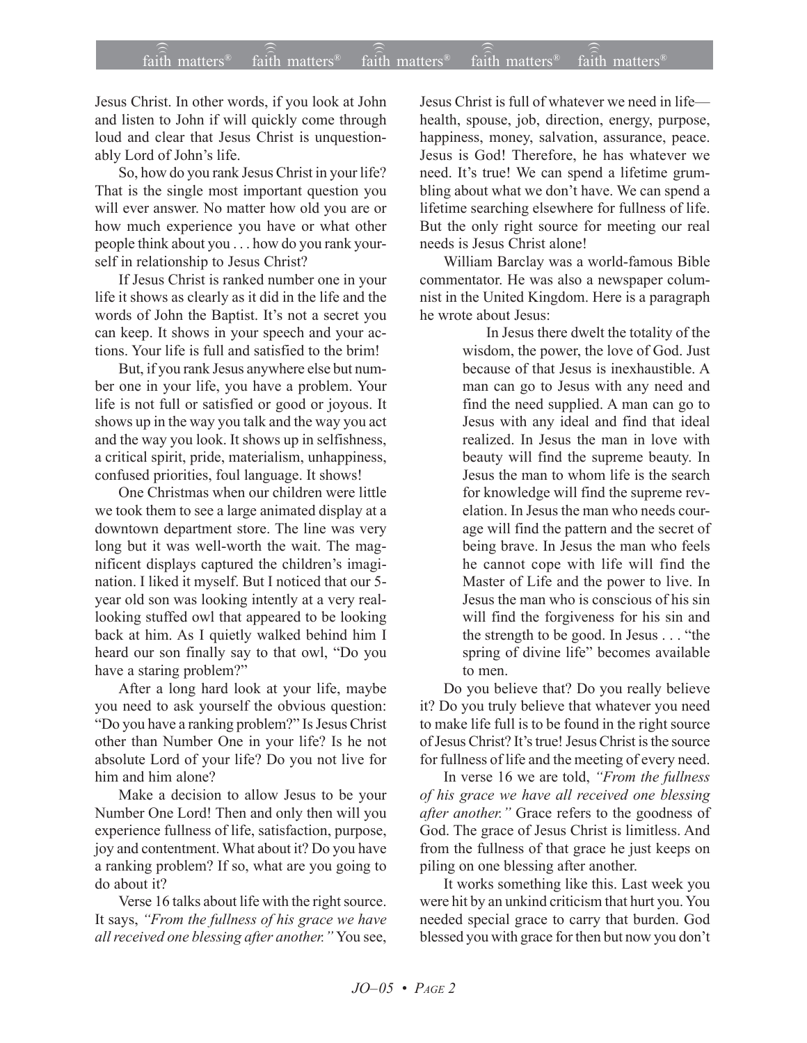Jesus Christ. In other words, if you look at John and listen to John if will quickly come through loud and clear that Jesus Christ is unquestionably Lord of John's life.

So, how do you rank Jesus Christ in your life? That is the single most important question you will ever answer. No matter how old you are or how much experience you have or what other people think about you . . . how do you rank yourself in relationship to Jesus Christ?

If Jesus Christ is ranked number one in your life it shows as clearly as it did in the life and the words of John the Baptist. It's not a secret you can keep. It shows in your speech and your actions. Your life is full and satisfied to the brim!

But, if you rank Jesus anywhere else but number one in your life, you have a problem. Your life is not full or satisfied or good or joyous. It shows up in the way you talk and the way you act and the way you look. It shows up in selfishness, a critical spirit, pride, materialism, unhappiness, confused priorities, foul language. It shows!

One Christmas when our children were little we took them to see a large animated display at a downtown department store. The line was very long but it was well-worth the wait. The magnificent displays captured the children's imagination. I liked it myself. But I noticed that our 5 year old son was looking intently at a very reallooking stuffed owl that appeared to be looking back at him. As I quietly walked behind him I heard our son finally say to that owl, "Do you have a staring problem?"

After a long hard look at your life, maybe you need to ask yourself the obvious question: ìDo you have a ranking problem?î Is Jesus Christ other than Number One in your life? Is he not absolute Lord of your life? Do you not live for him and him alone?

Make a decision to allow Jesus to be your Number One Lord! Then and only then will you experience fullness of life, satisfaction, purpose, joy and contentment. What about it? Do you have a ranking problem? If so, what are you going to do about it?

Verse 16 talks about life with the right source. It says, "From the fullness of his grace we have *all received one blessing after another.* "You see,

Jesus Christ is full of whatever we need in life health, spouse, job, direction, energy, purpose, happiness, money, salvation, assurance, peace. Jesus is God! Therefore, he has whatever we need. It's true! We can spend a lifetime grumbling about what we don't have. We can spend a lifetime searching elsewhere for fullness of life. But the only right source for meeting our real needs is Jesus Christ alone!

William Barclay was a world-famous Bible commentator. He was also a newspaper columnist in the United Kingdom. Here is a paragraph he wrote about Jesus:

> In Jesus there dwelt the totality of the wisdom, the power, the love of God. Just because of that Jesus is inexhaustible. A man can go to Jesus with any need and find the need supplied. A man can go to Jesus with any ideal and find that ideal realized. In Jesus the man in love with beauty will find the supreme beauty. In Jesus the man to whom life is the search for knowledge will find the supreme revelation. In Jesus the man who needs courage will find the pattern and the secret of being brave. In Jesus the man who feels he cannot cope with life will find the Master of Life and the power to live. In Jesus the man who is conscious of his sin will find the forgiveness for his sin and the strength to be good. In Jesus  $\dots$  "the spring of divine life" becomes available to men.

Do you believe that? Do you really believe it? Do you truly believe that whatever you need to make life full is to be found in the right source of Jesus Christ? It's true! Jesus Christ is the source for fullness of life and the meeting of every need.

In verse 16 we are told, "From the fullness" *of his grace we have all received one blessing after another.*" Grace refers to the goodness of God. The grace of Jesus Christ is limitless. And from the fullness of that grace he just keeps on piling on one blessing after another.

It works something like this. Last week you were hit by an unkind criticism that hurt you. You needed special grace to carry that burden. God blessed you with grace for then but now you don't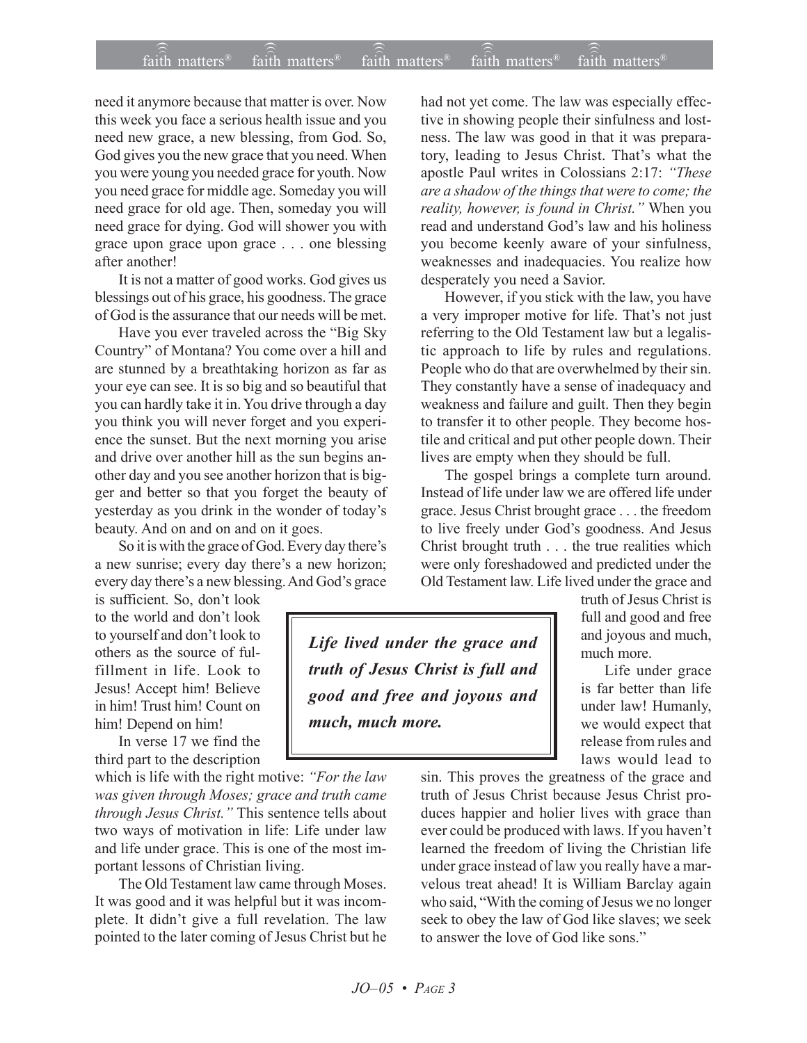## $\widehat{\widehat{\mathfrak{tair}}}$  matters  $\widehat{\widehat{\mathfrak{tair}}}$  matters  $\widehat{\widehat{\mathfrak{tair}}}$  matters  $\widehat{\widehat{\mathfrak{tair}}}$  matters  $\widehat{\widehat{\mathfrak{se}}}$  faith matters faith matters<sup>®</sup>  $f$ <sub>aith</sub> matters<sup>®</sup>  $\widehat{f}$ aith matters

need it anymore because that matter is over. Now this week you face a serious health issue and you need new grace, a new blessing, from God. So, God gives you the new grace that you need. When you were young you needed grace for youth. Now you need grace for middle age. Someday you will need grace for old age. Then, someday you will need grace for dying. God will shower you with grace upon grace upon grace . . . one blessing after another!

It is not a matter of good works. God gives us blessings out of his grace, his goodness. The grace of God is the assurance that our needs will be met.

Have you ever traveled across the "Big Sky Country" of Montana? You come over a hill and are stunned by a breathtaking horizon as far as your eye can see. It is so big and so beautiful that you can hardly take it in. You drive through a day you think you will never forget and you experience the sunset. But the next morning you arise and drive over another hill as the sun begins another day and you see another horizon that is bigger and better so that you forget the beauty of yesterday as you drink in the wonder of today's beauty. And on and on and on it goes.

So it is with the grace of God. Every day there's a new sunrise; every day there's a new horizon; every day there's a new blessing. And God's grace

is sufficient. So, don't look to the world and don't look to yourself and don't look to others as the source of fulfillment in life. Look to Jesus! Accept him! Believe in him! Trust him! Count on him! Depend on him!

In verse 17 we find the third part to the description

which is life with the right motive: *'For the law was given through Moses; grace and truth came through Jesus Christ.*" This sentence tells about two ways of motivation in life: Life under law and life under grace. This is one of the most important lessons of Christian living.

The Old Testament law came through Moses. It was good and it was helpful but it was incomplete. It didn't give a full revelation. The law pointed to the later coming of Jesus Christ but he

had not yet come. The law was especially effective in showing people their sinfulness and lostness. The law was good in that it was preparatory, leading to Jesus Christ. That's what the apostle Paul writes in Colossians 2:17: *ìThese are a shadow of the things that were to come; the reality, however, is found in Christ.*" When you read and understand God's law and his holiness you become keenly aware of your sinfulness, weaknesses and inadequacies. You realize how desperately you need a Savior.

However, if you stick with the law, you have a very improper motive for life. That's not just referring to the Old Testament law but a legalistic approach to life by rules and regulations. People who do that are overwhelmed by their sin. They constantly have a sense of inadequacy and weakness and failure and guilt. Then they begin to transfer it to other people. They become hostile and critical and put other people down. Their lives are empty when they should be full.

The gospel brings a complete turn around. Instead of life under law we are offered life under grace. Jesus Christ brought grace . . . the freedom to live freely under God's goodness. And Jesus Christ brought truth . . . the true realities which were only foreshadowed and predicted under the Old Testament law. Life lived under the grace and

*Life lived under the grace and truth of Jesus Christ is full and good and free and joyous and much, much more.*

truth of Jesus Christ is full and good and free and joyous and much, much more.

Life under grace is far better than life under law! Humanly, we would expect that release from rules and laws would lead to

sin. This proves the greatness of the grace and truth of Jesus Christ because Jesus Christ produces happier and holier lives with grace than ever could be produced with laws. If you haven't learned the freedom of living the Christian life under grace instead of law you really have a marvelous treat ahead! It is William Barclay again who said, "With the coming of Jesus we no longer seek to obey the law of God like slaves; we seek to answer the love of God like sons."